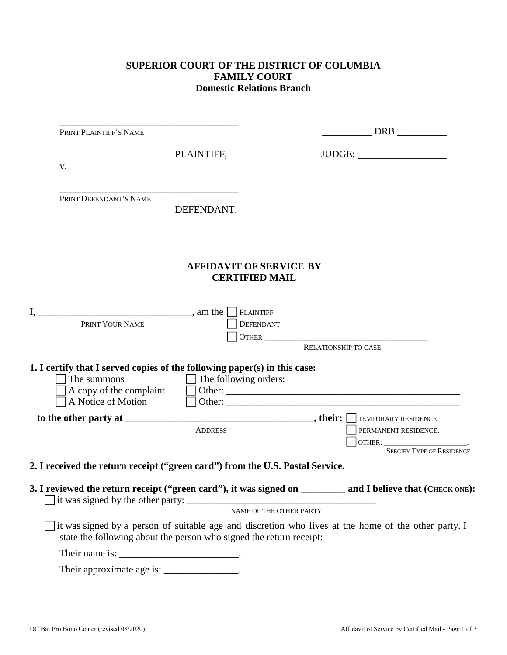## **SUPERIOR COURT OF THE DISTRICT OF COLUMBIA FAMILY COURT Domestic Relations Branch**

| PRINT PLAINTIFF'S NAME                                                                                                                                                                                                                                                                                             |                                                         |                         | DRB                              |
|--------------------------------------------------------------------------------------------------------------------------------------------------------------------------------------------------------------------------------------------------------------------------------------------------------------------|---------------------------------------------------------|-------------------------|----------------------------------|
|                                                                                                                                                                                                                                                                                                                    | PLAINTIFF,                                              |                         | JUDGE:                           |
| V.                                                                                                                                                                                                                                                                                                                 |                                                         |                         |                                  |
|                                                                                                                                                                                                                                                                                                                    |                                                         |                         |                                  |
| PRINT DEFENDANT'S NAME                                                                                                                                                                                                                                                                                             | DEFENDANT.                                              |                         |                                  |
|                                                                                                                                                                                                                                                                                                                    | <b>AFFIDAVIT OF SERVICE BY</b><br><b>CERTIFIED MAIL</b> |                         |                                  |
|                                                                                                                                                                                                                                                                                                                    |                                                         |                         |                                  |
| $I, \underline{\hspace{1cm}}$ am the [<br>PRINT YOUR NAME                                                                                                                                                                                                                                                          | <b>PLAINTIFF</b><br>DEFENDANT                           |                         |                                  |
|                                                                                                                                                                                                                                                                                                                    |                                                         | RELATIONSHIP TO CASE    |                                  |
| 1. I certify that I served copies of the following paper(s) in this case:                                                                                                                                                                                                                                          |                                                         |                         |                                  |
| The summons                                                                                                                                                                                                                                                                                                        |                                                         |                         |                                  |
| A copy of the complaint                                                                                                                                                                                                                                                                                            |                                                         |                         |                                  |
| A Notice of Motion                                                                                                                                                                                                                                                                                                 |                                                         |                         |                                  |
|                                                                                                                                                                                                                                                                                                                    |                                                         |                         | TEMPORARY RESIDENCE.             |
|                                                                                                                                                                                                                                                                                                                    | <b>ADDRESS</b>                                          |                         | PERMANENT RESIDENCE.             |
|                                                                                                                                                                                                                                                                                                                    |                                                         |                         | OTHER: SPECIFY TYPE OF RESIDENCE |
|                                                                                                                                                                                                                                                                                                                    |                                                         |                         |                                  |
| 2. I received the return receipt ("green card") from the U.S. Postal Service.                                                                                                                                                                                                                                      |                                                         |                         |                                  |
| 3. I reviewed the return receipt ("green card"), it was signed on _________ and I believe that (CHECK ONE):                                                                                                                                                                                                        |                                                         |                         |                                  |
|                                                                                                                                                                                                                                                                                                                    |                                                         | NAME OF THE OTHER PARTY |                                  |
| it was signed by a person of suitable age and discretion who lives at the home of the other party. I<br>state the following about the person who signed the return receipt:                                                                                                                                        |                                                         |                         |                                  |
| Their name is: $\frac{1}{2}$ $\frac{1}{2}$ $\frac{1}{2}$ $\frac{1}{2}$ $\frac{1}{2}$ $\frac{1}{2}$ $\frac{1}{2}$ $\frac{1}{2}$ $\frac{1}{2}$ $\frac{1}{2}$ $\frac{1}{2}$ $\frac{1}{2}$ $\frac{1}{2}$ $\frac{1}{2}$ $\frac{1}{2}$ $\frac{1}{2}$ $\frac{1}{2}$ $\frac{1}{2}$ $\frac{1}{2}$ $\frac{1}{2}$ $\frac{1}{$ |                                                         |                         |                                  |
| Their approximate age is: _______________.                                                                                                                                                                                                                                                                         |                                                         |                         |                                  |
|                                                                                                                                                                                                                                                                                                                    |                                                         |                         |                                  |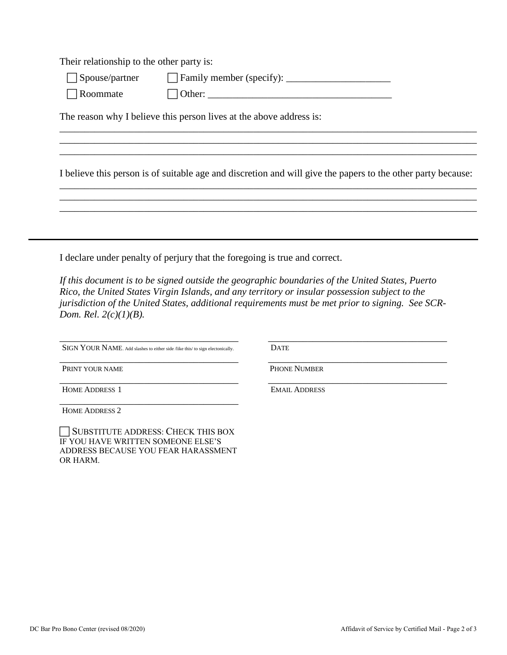Their relationship to the other party is:

□ Spouse/partner □ Family member (specify): \_\_\_\_\_\_\_\_\_\_\_\_\_\_\_\_\_\_\_\_\_\_\_\_\_\_\_\_\_\_\_\_\_

 $\Box$  Roommate  $\Box$  Other:  $\Box$ 

The reason why I believe this person lives at the above address is:

I believe this person is of suitable age and discretion and will give the papers to the other party because: \_\_\_\_\_\_\_\_\_\_\_\_\_\_\_\_\_\_\_\_\_\_\_\_\_\_\_\_\_\_\_\_\_\_\_\_\_\_\_\_\_\_\_\_\_\_\_\_\_\_\_\_\_\_\_\_\_\_\_\_\_\_\_\_\_\_\_\_\_\_\_\_\_\_\_\_\_\_\_\_\_\_\_\_

\_\_\_\_\_\_\_\_\_\_\_\_\_\_\_\_\_\_\_\_\_\_\_\_\_\_\_\_\_\_\_\_\_\_\_\_\_\_\_\_\_\_\_\_\_\_\_\_\_\_\_\_\_\_\_\_\_\_\_\_\_\_\_\_\_\_\_\_\_\_\_\_\_\_\_\_\_\_\_\_\_\_\_\_ \_\_\_\_\_\_\_\_\_\_\_\_\_\_\_\_\_\_\_\_\_\_\_\_\_\_\_\_\_\_\_\_\_\_\_\_\_\_\_\_\_\_\_\_\_\_\_\_\_\_\_\_\_\_\_\_\_\_\_\_\_\_\_\_\_\_\_\_\_\_\_\_\_\_\_\_\_\_\_\_\_\_\_\_

\_\_\_\_\_\_\_\_\_\_\_\_\_\_\_\_\_\_\_\_\_\_\_\_\_\_\_\_\_\_\_\_\_\_\_\_\_\_\_\_\_\_\_\_\_\_\_\_\_\_\_\_\_\_\_\_\_\_\_\_\_\_\_\_\_\_\_\_\_\_\_\_\_\_\_\_\_\_\_\_\_\_\_\_ \_\_\_\_\_\_\_\_\_\_\_\_\_\_\_\_\_\_\_\_\_\_\_\_\_\_\_\_\_\_\_\_\_\_\_\_\_\_\_\_\_\_\_\_\_\_\_\_\_\_\_\_\_\_\_\_\_\_\_\_\_\_\_\_\_\_\_\_\_\_\_\_\_\_\_\_\_\_\_\_\_\_\_\_ \_\_\_\_\_\_\_\_\_\_\_\_\_\_\_\_\_\_\_\_\_\_\_\_\_\_\_\_\_\_\_\_\_\_\_\_\_\_\_\_\_\_\_\_\_\_\_\_\_\_\_\_\_\_\_\_\_\_\_\_\_\_\_\_\_\_\_\_\_\_\_\_\_\_\_\_\_\_\_\_\_\_\_\_

I declare under penalty of perjury that the foregoing is true and correct.

*If this document is to be signed outside the geographic boundaries of the United States, Puerto Rico, the United States Virgin Islands, and any territory or insular possession subject to the jurisdiction of the United States, additional requirements must be met prior to signing. See SCR-Dom. Rel. 2(c)(1)(B).*

\_\_\_\_\_\_\_\_\_\_\_\_\_\_\_\_\_\_\_\_\_\_\_\_\_\_\_\_\_\_\_\_\_\_\_\_ SIGN YOUR NAME. Add slashes to either side /like this/ to sign electonically. \_\_\_\_\_\_\_\_\_\_\_\_\_\_\_\_\_\_\_\_\_\_\_\_\_\_\_\_\_\_\_\_\_\_\_\_

**DATE** 

PRINT YOUR NAME

\_\_\_\_\_\_\_\_\_\_\_\_\_\_\_\_\_\_\_\_\_\_\_\_\_\_\_\_\_\_\_\_\_\_\_\_ HOME ADDRESS 1

\_\_\_\_\_\_\_\_\_\_\_\_\_\_\_\_\_\_\_\_\_\_\_\_\_\_\_\_\_\_\_\_\_\_\_\_ HOME ADDRESS 2

SUBSTITUTE ADDRESS: CHECK THIS BOX IF YOU HAVE WRITTEN SOMEONE ELSE'S ADDRESS BECAUSE YOU FEAR HARASSMENT OR HARM.

PHONE NUMBER \_\_\_\_\_\_\_\_\_\_\_\_\_\_\_\_\_\_\_\_\_\_\_\_\_\_\_\_\_\_\_\_\_\_\_\_ EMAIL ADDRESS

\_\_\_\_\_\_\_\_\_\_\_\_\_\_\_\_\_\_\_\_\_\_\_\_\_\_\_\_\_\_\_\_\_\_\_\_

\_\_\_\_\_\_\_\_\_\_\_\_\_\_\_\_\_\_\_\_\_\_\_\_\_\_\_\_\_\_\_\_\_\_\_\_